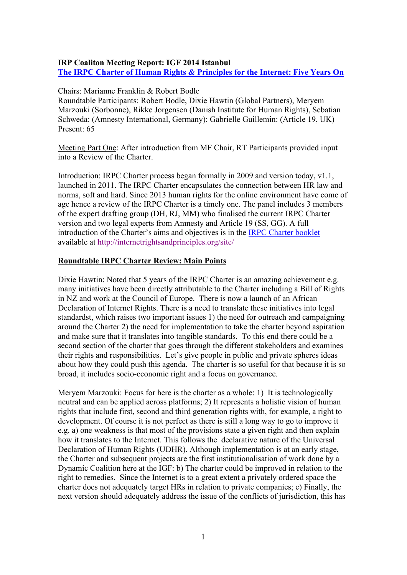# **IRP Coaliton Meeting Report: IGF 2014 Istanbul The IRPC Charter of Human Rights & Principles for the Internet: Five Years On**

#### Chairs: Marianne Franklin & Robert Bodle

Roundtable Participants: Robert Bodle, Dixie Hawtin (Global Partners), Meryem Marzouki (Sorbonne), Rikke Jorgensen (Danish Institute for Human Rights), Sebatian Schweda: (Amnesty International, Germany); Gabrielle Guillemin: (Article 19, UK) Present: 65

Meeting Part One: After introduction from MF Chair, RT Participants provided input into a Review of the Charter.

Introduction: IRPC Charter process began formally in 2009 and version today, v1.1, launched in 2011. The IRPC Charter encapsulates the connection between HR law and norms, soft and hard. Since 2013 human rights for the online environment have come of age hence a review of the IRPC Charter is a timely one. The panel includes 3 members of the expert drafting group (DH, RJ, MM) who finalised the current IRPC Charter version and two legal experts from Amnesty and Article 19 (SS, GG). A full introduction of the Charter's aims and objectives is in the IRPC Charter booklet available at http://internetrightsandprinciples.org/site/

## **Roundtable IRPC Charter Review: Main Points**

Dixie Hawtin: Noted that 5 years of the IRPC Charter is an amazing achievement e.g. many initiatives have been directly attributable to the Charter including a Bill of Rights in NZ and work at the Council of Europe. There is now a launch of an African Declaration of Internet Rights. There is a need to translate these initiatives into legal standardst, which raises two important issues 1) the need for outreach and campaigning around the Charter 2) the need for implementation to take the charter beyond aspiration and make sure that it translates into tangible standards. To this end there could be a second section of the charter that goes through the different stakeholders and examines their rights and responsibilities. Let's give people in public and private spheres ideas about how they could push this agenda. The charter is so useful for that because it is so broad, it includes socio-economic right and a focus on governance.

Meryem Marzouki: Focus for here is the charter as a whole: 1) It is technologically neutral and can be applied across platforms; 2) It represents a holistic vision of human rights that include first, second and third generation rights with, for example, a right to development. Of course it is not perfect as there is still a long way to go to improve it e.g. a) one weakness is that most of the provisions state a given right and then explain how it translates to the Internet. This follows the declarative nature of the Universal Declaration of Human Rights (UDHR). Although implementation is at an early stage, the Charter and subsequent projects are the first institutionalisation of work done by a Dynamic Coalition here at the IGF: b) The charter could be improved in relation to the right to remedies. Since the Internet is to a great extent a privately ordered space the charter does not adequately target HRs in relation to private companies; c) Finally, the next version should adequately address the issue of the conflicts of jurisdiction, this has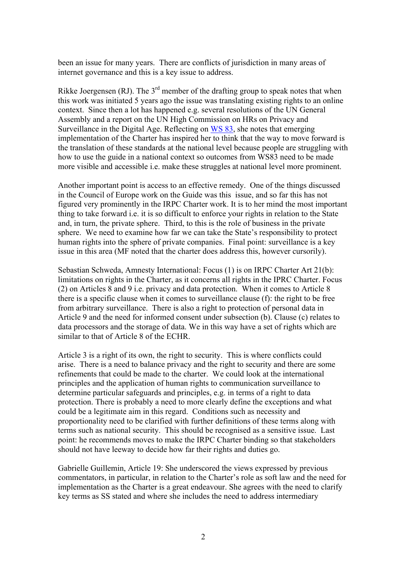been an issue for many years. There are conflicts of jurisdiction in many areas of internet governance and this is a key issue to address.

Rikke Joergensen (RJ). The  $3<sup>rd</sup>$  member of the drafting group to speak notes that when this work was initiated 5 years ago the issue was translating existing rights to an online context. Since then a lot has happened e.g. several resolutions of the UN General Assembly and a report on the UN High Commission on HRs on Privacy and Surveillance in the Digital Age. Reflecting on WS 83, she notes that emerging implementation of the Charter has inspired her to think that the way to move forward is the translation of these standards at the national level because people are struggling with how to use the guide in a national context so outcomes from WS83 need to be made more visible and accessible i.e. make these struggles at national level more prominent.

Another important point is access to an effective remedy. One of the things discussed in the Council of Europe work on the Guide was this issue, and so far this has not figured very prominently in the IRPC Charter work. It is to her mind the most important thing to take forward i.e. it is so difficult to enforce your rights in relation to the State and, in turn, the private sphere. Third, to this is the role of business in the private sphere. We need to examine how far we can take the State's responsibility to protect human rights into the sphere of private companies. Final point: surveillance is a key issue in this area (MF noted that the charter does address this, however cursorily).

Sebastian Schweda, Amnesty International: Focus (1) is on IRPC Charter Art 21(b): limitations on rights in the Charter, as it concerns all rights in the IPRC Charter. Focus (2) on Articles 8 and 9 i.e. privacy and data protection. When it comes to Article 8 there is a specific clause when it comes to surveillance clause (f): the right to be free from arbitrary surveillance. There is also a right to protection of personal data in Article 9 and the need for informed consent under subsection (b). Clause (c) relates to data processors and the storage of data. We in this way have a set of rights which are similar to that of Article 8 of the ECHR.

Article 3 is a right of its own, the right to security. This is where conflicts could arise. There is a need to balance privacy and the right to security and there are some refinements that could be made to the charter. We could look at the international principles and the application of human rights to communication surveillance to determine particular safeguards and principles, e.g. in terms of a right to data protection. There is probably a need to more clearly define the exceptions and what could be a legitimate aim in this regard. Conditions such as necessity and proportionality need to be clarified with further definitions of these terms along with terms such as national security. This should be recognised as a sensitive issue. Last point: he recommends moves to make the IRPC Charter binding so that stakeholders should not have leeway to decide how far their rights and duties go.

Gabrielle Guillemin, Article 19: She underscored the views expressed by previous commentators, in particular, in relation to the Charter's role as soft law and the need for implementation as the Charter is a great endeavour. She agrees with the need to clarify key terms as SS stated and where she includes the need to address intermediary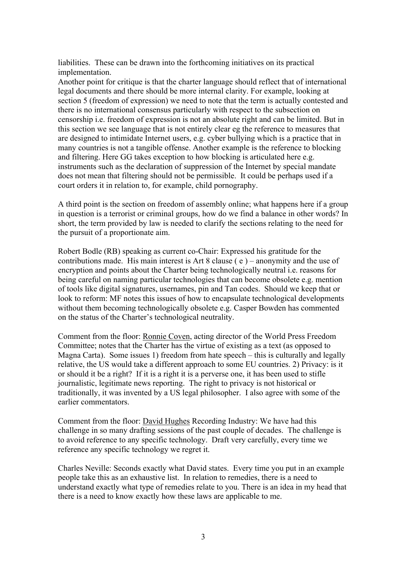liabilities. These can be drawn into the forthcoming initiatives on its practical implementation.

Another point for critique is that the charter language should reflect that of international legal documents and there should be more internal clarity. For example, looking at section 5 (freedom of expression) we need to note that the term is actually contested and there is no international consensus particularly with respect to the subsection on censorship i.e. freedom of expression is not an absolute right and can be limited. But in this section we see language that is not entirely clear eg the reference to measures that are designed to intimidate Internet users, e.g. cyber bullying which is a practice that in many countries is not a tangible offense. Another example is the reference to blocking and filtering. Here GG takes exception to how blocking is articulated here e.g. instruments such as the declaration of suppression of the Internet by special mandate does not mean that filtering should not be permissible. It could be perhaps used if a court orders it in relation to, for example, child pornography.

A third point is the section on freedom of assembly online; what happens here if a group in question is a terrorist or criminal groups, how do we find a balance in other words? In short, the term provided by law is needed to clarify the sections relating to the need for the pursuit of a proportionate aim.

Robert Bodle (RB) speaking as current co-Chair: Expressed his gratitude for the contributions made. His main interest is Art 8 clause ( e ) – anonymity and the use of encryption and points about the Charter being technologically neutral i.e. reasons for being careful on naming particular technologies that can become obsolete e.g. mention of tools like digital signatures, usernames, pin and Tan codes. Should we keep that or look to reform: MF notes this issues of how to encapsulate technological developments without them becoming technologically obsolete e.g. Casper Bowden has commented on the status of the Charter's technological neutrality.

Comment from the floor: Ronnie Coven, acting director of the World Press Freedom Committee; notes that the Charter has the virtue of existing as a text (as opposed to Magna Carta). Some issues 1) freedom from hate speech – this is culturally and legally relative, the US would take a different approach to some EU countries. 2) Privacy: is it or should it be a right? If it is a right it is a perverse one, it has been used to stifle journalistic, legitimate news reporting. The right to privacy is not historical or traditionally, it was invented by a US legal philosopher. I also agree with some of the earlier commentators.

Comment from the floor: David Hughes Recording Industry: We have had this challenge in so many drafting sessions of the past couple of decades. The challenge is to avoid reference to any specific technology. Draft very carefully, every time we reference any specific technology we regret it.

Charles Neville: Seconds exactly what David states. Every time you put in an example people take this as an exhaustive list. In relation to remedies, there is a need to understand exactly what type of remedies relate to you. There is an idea in my head that there is a need to know exactly how these laws are applicable to me.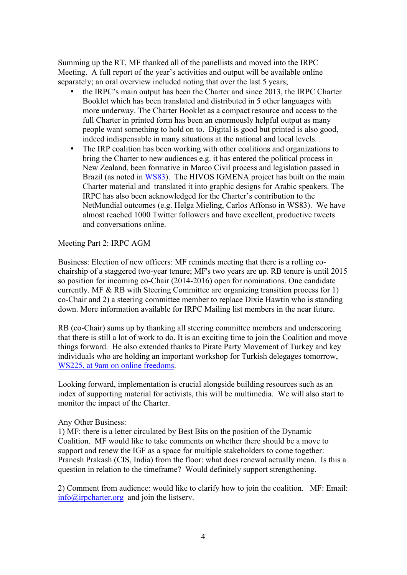Summing up the RT, MF thanked all of the panellists and moved into the IRPC Meeting. A full report of the year's activities and output will be available online separately; an oral overview included noting that over the last 5 years;

- the IRPC's main output has been the Charter and since 2013, the IRPC Charter Booklet which has been translated and distributed in 5 other languages with more underway. The Charter Booklet as a compact resource and access to the full Charter in printed form has been an enormously helpful output as many people want something to hold on to. Digital is good but printed is also good, indeed indispensable in many situations at the national and local levels. .
- The IRP coalition has been working with other coalitions and organizations to bring the Charter to new audiences e.g. it has entered the political process in New Zealand, been formative in Marco Civil process and legislation passed in Brazil (as noted in WS83). The HIVOS IGMENA project has built on the main Charter material and translated it into graphic designs for Arabic speakers. The IRPC has also been acknowledged for the Charter's contribution to the NetMundial outcomes (e.g. Helga Mieling, Carlos Affonso in WS83). We have almost reached 1000 Twitter followers and have excellent, productive tweets and conversations online.

## Meeting Part 2: IRPC AGM

Business: Election of new officers: MF reminds meeting that there is a rolling cochairship of a staggered two-year tenure; MF's two years are up. RB tenure is until 2015 so position for incoming co-Chair (2014-2016) open for nominations. One candidate currently. MF & RB with Steering Committee are organizing transition process for 1) co-Chair and 2) a steering committee member to replace Dixie Hawtin who is standing down. More information available for IRPC Mailing list members in the near future.

RB (co-Chair) sums up by thanking all steering committee members and underscoring that there is still a lot of work to do. It is an exciting time to join the Coalition and move things forward. He also extended thanks to Pirate Party Movement of Turkey and key individuals who are holding an important workshop for Turkish delegages tomorrow, WS225, at 9am on online freedoms.

Looking forward, implementation is crucial alongside building resources such as an index of supporting material for activists, this will be multimedia. We will also start to monitor the impact of the Charter.

#### Any Other Business:

1) MF: there is a letter circulated by Best Bits on the position of the Dynamic Coalition. MF would like to take comments on whether there should be a move to support and renew the IGF as a space for multiple stakeholders to come together: Pranesh Prakash (CIS, India) from the floor: what does renewal actually mean. Is this a question in relation to the timeframe? Would definitely support strengthening.

2) Comment from audience: would like to clarify how to join the coalition. MF: Email: info@irpcharter.org and join the listserv.